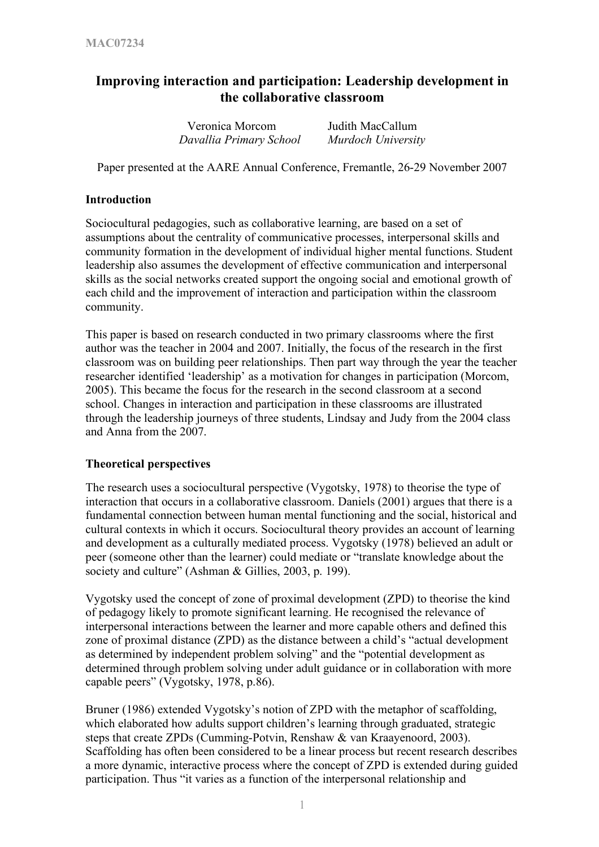# **Improving interaction and participation: Leadership development in the collaborative classroom**

| Veronica Morcom         | Judith MacCallum   |
|-------------------------|--------------------|
| Davallia Primary School | Murdoch University |

Paper presented at the AARE Annual Conference, Fremantle, 26-29 November 2007

#### **Introduction**

Sociocultural pedagogies, such as collaborative learning, are based on a set of assumptions about the centrality of communicative processes, interpersonal skills and community formation in the development of individual higher mental functions. Student leadership also assumes the development of effective communication and interpersonal skills as the social networks created support the ongoing social and emotional growth of each child and the improvement of interaction and participation within the classroom community.

This paper is based on research conducted in two primary classrooms where the first author was the teacher in 2004 and 2007. Initially, the focus of the research in the first classroom was on building peer relationships. Then part way through the year the teacher researcher identified 'leadership' as a motivation for changes in participation (Morcom, 2005). This became the focus for the research in the second classroom at a second school. Changes in interaction and participation in these classrooms are illustrated through the leadership journeys of three students, Lindsay and Judy from the 2004 class and Anna from the 2007.

## **Theoretical perspectives**

The research uses a sociocultural perspective (Vygotsky, 1978) to theorise the type of interaction that occurs in a collaborative classroom. Daniels (2001) argues that there is a fundamental connection between human mental functioning and the social, historical and cultural contexts in which it occurs. Sociocultural theory provides an account of learning and development as a culturally mediated process. Vygotsky (1978) believed an adult or peer (someone other than the learner) could mediate or "translate knowledge about the society and culture" (Ashman & Gillies, 2003, p. 199).

Vygotsky used the concept of zone of proximal development (ZPD) to theorise the kind of pedagogy likely to promote significant learning. He recognised the relevance of interpersonal interactions between the learner and more capable others and defined this zone of proximal distance (ZPD) as the distance between a child's "actual development as determined by independent problem solving" and the "potential development as determined through problem solving under adult guidance or in collaboration with more capable peers" (Vygotsky, 1978, p.86).

Bruner (1986) extended Vygotsky's notion of ZPD with the metaphor of scaffolding, which elaborated how adults support children's learning through graduated, strategic steps that create ZPDs (Cumming-Potvin, Renshaw & van Kraayenoord, 2003). Scaffolding has often been considered to be a linear process but recent research describes a more dynamic, interactive process where the concept of ZPD is extended during guided participation. Thus "it varies as a function of the interpersonal relationship and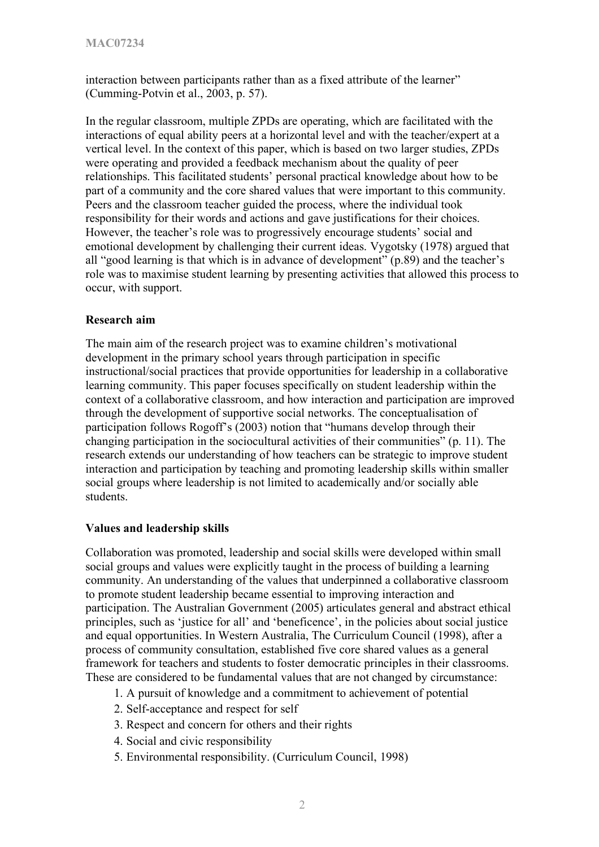interaction between participants rather than as a fixed attribute of the learner" (Cumming-Potvin et al., 2003, p. 57).

In the regular classroom, multiple ZPDs are operating, which are facilitated with the interactions of equal ability peers at a horizontal level and with the teacher/expert at a vertical level. In the context of this paper, which is based on two larger studies, ZPDs were operating and provided a feedback mechanism about the quality of peer relationships. This facilitated students' personal practical knowledge about how to be part of a community and the core shared values that were important to this community. Peers and the classroom teacher guided the process, where the individual took responsibility for their words and actions and gave justifications for their choices. However, the teacher's role was to progressively encourage students' social and emotional development by challenging their current ideas. Vygotsky (1978) argued that all "good learning is that which is in advance of development" (p.89) and the teacher's role was to maximise student learning by presenting activities that allowed this process to occur, with support.

## **Research aim**

The main aim of the research project was to examine children's motivational development in the primary school years through participation in specific instructional/social practices that provide opportunities for leadership in a collaborative learning community. This paper focuses specifically on student leadership within the context of a collaborative classroom, and how interaction and participation are improved through the development of supportive social networks. The conceptualisation of participation follows Rogoff's (2003) notion that "humans develop through their changing participation in the sociocultural activities of their communities" (p. 11). The research extends our understanding of how teachers can be strategic to improve student interaction and participation by teaching and promoting leadership skills within smaller social groups where leadership is not limited to academically and/or socially able students.

## **Values and leadership skills**

Collaboration was promoted, leadership and social skills were developed within small social groups and values were explicitly taught in the process of building a learning community. An understanding of the values that underpinned a collaborative classroom to promote student leadership became essential to improving interaction and participation. The Australian Government (2005) articulates general and abstract ethical principles, such as 'justice for all' and 'beneficence', in the policies about social justice and equal opportunities. In Western Australia, The Curriculum Council (1998), after a process of community consultation, established five core shared values as a general framework for teachers and students to foster democratic principles in their classrooms. These are considered to be fundamental values that are not changed by circumstance:

- 1. A pursuit of knowledge and a commitment to achievement of potential
- 2. Self-acceptance and respect for self
- 3. Respect and concern for others and their rights
- 4. Social and civic responsibility
- 5. Environmental responsibility. (Curriculum Council, 1998)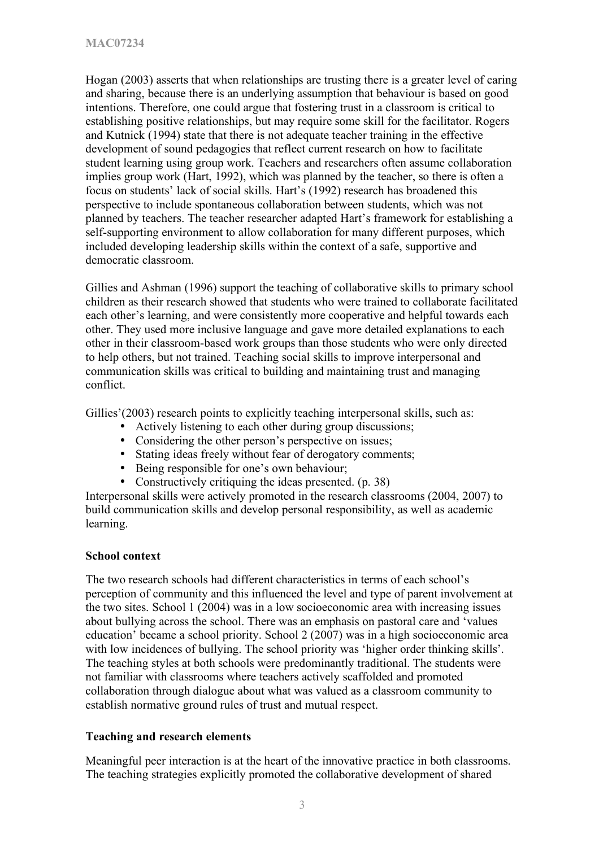Hogan (2003) asserts that when relationships are trusting there is a greater level of caring and sharing, because there is an underlying assumption that behaviour is based on good intentions. Therefore, one could argue that fostering trust in a classroom is critical to establishing positive relationships, but may require some skill for the facilitator. Rogers and Kutnick (1994) state that there is not adequate teacher training in the effective development of sound pedagogies that reflect current research on how to facilitate student learning using group work. Teachers and researchers often assume collaboration implies group work (Hart, 1992), which was planned by the teacher, so there is often a focus on students' lack of social skills. Hart's (1992) research has broadened this perspective to include spontaneous collaboration between students, which was not planned by teachers. The teacher researcher adapted Hart's framework for establishing a self-supporting environment to allow collaboration for many different purposes, which included developing leadership skills within the context of a safe, supportive and democratic classroom.

Gillies and Ashman (1996) support the teaching of collaborative skills to primary school children as their research showed that students who were trained to collaborate facilitated each other's learning, and were consistently more cooperative and helpful towards each other. They used more inclusive language and gave more detailed explanations to each other in their classroom-based work groups than those students who were only directed to help others, but not trained. Teaching social skills to improve interpersonal and communication skills was critical to building and maintaining trust and managing conflict.

Gillies'(2003) research points to explicitly teaching interpersonal skills, such as:

- Actively listening to each other during group discussions;
- Considering the other person's perspective on issues;
- Stating ideas freely without fear of derogatory comments;
- Being responsible for one's own behaviour;
- Constructively critiquing the ideas presented. (p. 38)

Interpersonal skills were actively promoted in the research classrooms (2004, 2007) to build communication skills and develop personal responsibility, as well as academic learning.

## **School context**

The two research schools had different characteristics in terms of each school's perception of community and this influenced the level and type of parent involvement at the two sites. School 1 (2004) was in a low socioeconomic area with increasing issues about bullying across the school. There was an emphasis on pastoral care and 'values education' became a school priority. School 2 (2007) was in a high socioeconomic area with low incidences of bullying. The school priority was 'higher order thinking skills'. The teaching styles at both schools were predominantly traditional. The students were not familiar with classrooms where teachers actively scaffolded and promoted collaboration through dialogue about what was valued as a classroom community to establish normative ground rules of trust and mutual respect.

## **Teaching and research elements**

Meaningful peer interaction is at the heart of the innovative practice in both classrooms. The teaching strategies explicitly promoted the collaborative development of shared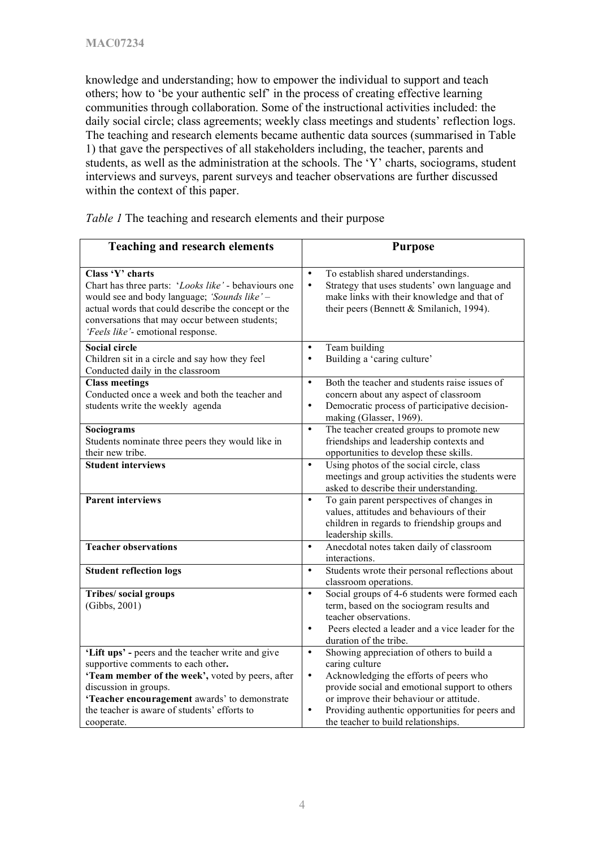knowledge and understanding; how to empower the individual to support and teach others; how to 'be your authentic self' in the process of creating effective learning communities through collaboration. Some of the instructional activities included: the daily social circle; class agreements; weekly class meetings and students' reflection logs. The teaching and research elements became authentic data sources (summarised in Table 1) that gave the perspectives of all stakeholders including, the teacher, parents and students, as well as the administration at the schools. The 'Y' charts, sociograms, student interviews and surveys, parent surveys and teacher observations are further discussed within the context of this paper.

| <b>Teaching and research elements</b>                                                                                                                                                                                                                                  | <b>Purpose</b>                                                                                                                                                                                                                                                                               |
|------------------------------------------------------------------------------------------------------------------------------------------------------------------------------------------------------------------------------------------------------------------------|----------------------------------------------------------------------------------------------------------------------------------------------------------------------------------------------------------------------------------------------------------------------------------------------|
| Class 'Y' charts<br>Chart has three parts: 'Looks like' - behaviours one<br>would see and body language; 'Sounds like' -<br>actual words that could describe the concept or the<br>conversations that may occur between students;<br>'Feels like'- emotional response. | To establish shared understandings.<br>$\bullet$<br>Strategy that uses students' own language and<br>$\bullet$<br>make links with their knowledge and that of<br>their peers (Bennett & Smilanich, 1994).                                                                                    |
| <b>Social circle</b><br>Children sit in a circle and say how they feel<br>Conducted daily in the classroom                                                                                                                                                             | Team building<br>$\bullet$<br>Building a 'caring culture'<br>$\bullet$                                                                                                                                                                                                                       |
| <b>Class meetings</b><br>Conducted once a week and both the teacher and<br>students write the weekly agenda                                                                                                                                                            | Both the teacher and students raise issues of<br>$\bullet$<br>concern about any aspect of classroom<br>Democratic process of participative decision-<br>$\bullet$<br>making (Glasser, 1969).                                                                                                 |
| Sociograms<br>Students nominate three peers they would like in<br>their new tribe.                                                                                                                                                                                     | The teacher created groups to promote new<br>$\bullet$<br>friendships and leadership contexts and<br>opportunities to develop these skills.                                                                                                                                                  |
| <b>Student interviews</b>                                                                                                                                                                                                                                              | Using photos of the social circle, class<br>$\bullet$<br>meetings and group activities the students were<br>asked to describe their understanding.                                                                                                                                           |
| <b>Parent interviews</b>                                                                                                                                                                                                                                               | To gain parent perspectives of changes in<br>$\bullet$<br>values, attitudes and behaviours of their<br>children in regards to friendship groups and<br>leadership skills.                                                                                                                    |
| <b>Teacher observations</b>                                                                                                                                                                                                                                            | Anecdotal notes taken daily of classroom<br>$\bullet$<br>interactions.                                                                                                                                                                                                                       |
| <b>Student reflection logs</b>                                                                                                                                                                                                                                         | Students wrote their personal reflections about<br>$\bullet$<br>classroom operations.                                                                                                                                                                                                        |
| Tribes/ social groups<br>(Gibbs, 2001)                                                                                                                                                                                                                                 | Social groups of 4-6 students were formed each<br>$\bullet$<br>term, based on the sociogram results and<br>teacher observations.<br>Peers elected a leader and a vice leader for the<br>$\bullet$<br>duration of the tribe.                                                                  |
| 'Lift ups' - peers and the teacher write and give<br>supportive comments to each other.<br>'Team member of the week', voted by peers, after<br>discussion in groups.<br>'Teacher encouragement awards' to demonstrate<br>the teacher is aware of students' efforts to  | Showing appreciation of others to build a<br>$\bullet$<br>caring culture<br>Acknowledging the efforts of peers who<br>$\bullet$<br>provide social and emotional support to others<br>or improve their behaviour or attitude.<br>Providing authentic opportunities for peers and<br>$\bullet$ |
| cooperate.                                                                                                                                                                                                                                                             | the teacher to build relationships.                                                                                                                                                                                                                                                          |

*Table 1* The teaching and research elements and their purpose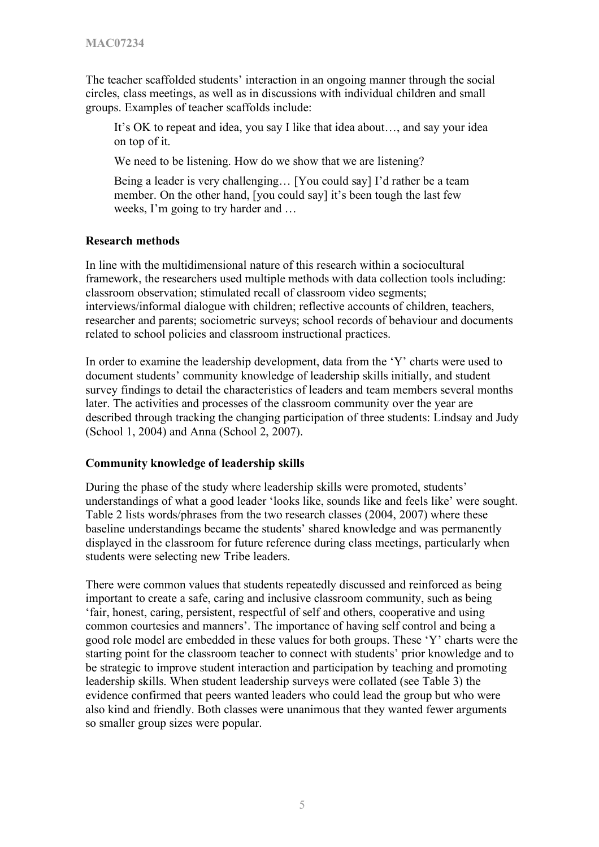The teacher scaffolded students' interaction in an ongoing manner through the social circles, class meetings, as well as in discussions with individual children and small groups. Examples of teacher scaffolds include:

It's OK to repeat and idea, you say I like that idea about…, and say your idea on top of it.

We need to be listening. How do we show that we are listening?

Being a leader is very challenging… [You could say] I'd rather be a team member. On the other hand, [you could say] it's been tough the last few weeks, I'm going to try harder and …

## **Research methods**

In line with the multidimensional nature of this research within a sociocultural framework, the researchers used multiple methods with data collection tools including: classroom observation; stimulated recall of classroom video segments; interviews/informal dialogue with children; reflective accounts of children, teachers, researcher and parents; sociometric surveys; school records of behaviour and documents related to school policies and classroom instructional practices.

In order to examine the leadership development, data from the 'Y' charts were used to document students' community knowledge of leadership skills initially, and student survey findings to detail the characteristics of leaders and team members several months later. The activities and processes of the classroom community over the year are described through tracking the changing participation of three students: Lindsay and Judy (School 1, 2004) and Anna (School 2, 2007).

## **Community knowledge of leadership skills**

During the phase of the study where leadership skills were promoted, students' understandings of what a good leader 'looks like, sounds like and feels like' were sought. Table 2 lists words/phrases from the two research classes (2004, 2007) where these baseline understandings became the students' shared knowledge and was permanently displayed in the classroom for future reference during class meetings, particularly when students were selecting new Tribe leaders.

There were common values that students repeatedly discussed and reinforced as being important to create a safe, caring and inclusive classroom community, such as being 'fair, honest, caring, persistent, respectful of self and others, cooperative and using common courtesies and manners'. The importance of having self control and being a good role model are embedded in these values for both groups. These 'Y' charts were the starting point for the classroom teacher to connect with students' prior knowledge and to be strategic to improve student interaction and participation by teaching and promoting leadership skills. When student leadership surveys were collated (see Table 3) the evidence confirmed that peers wanted leaders who could lead the group but who were also kind and friendly. Both classes were unanimous that they wanted fewer arguments so smaller group sizes were popular.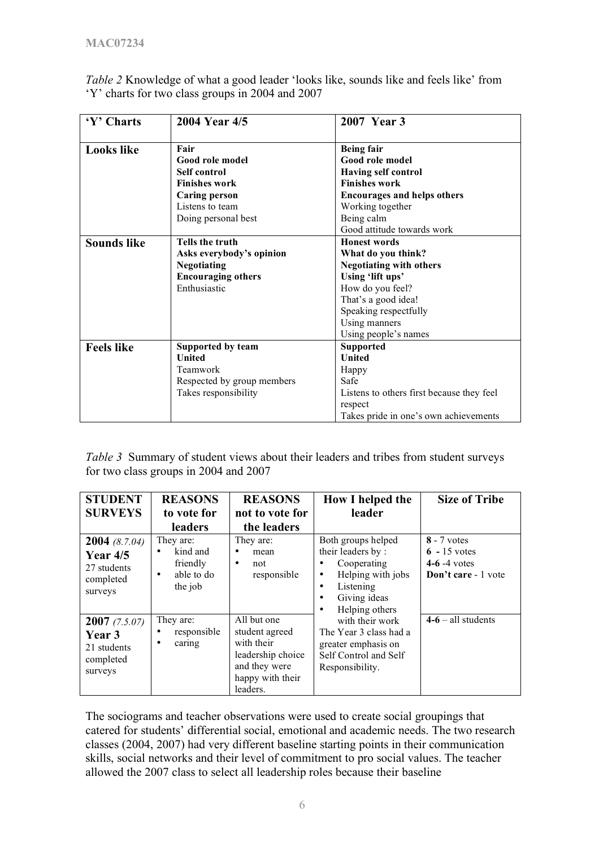| 'Y' Charts         | 2004 Year 4/5              | 2007 Year 3                               |  |
|--------------------|----------------------------|-------------------------------------------|--|
| <b>Looks like</b>  | Fair                       | <b>Being fair</b>                         |  |
|                    | Good role model            | Good role model                           |  |
|                    | Self control               | <b>Having self control</b>                |  |
|                    | <b>Finishes work</b>       | <b>Finishes work</b>                      |  |
|                    | <b>Caring person</b>       | <b>Encourages and helps others</b>        |  |
|                    | Listens to team            | Working together                          |  |
|                    | Doing personal best        | Being calm                                |  |
|                    |                            | Good attitude towards work                |  |
| <b>Sounds like</b> | <b>Tells the truth</b>     | <b>Honest words</b>                       |  |
|                    | Asks everybody's opinion   | What do you think?                        |  |
|                    | <b>Negotiating</b>         | <b>Negotiating with others</b>            |  |
|                    | <b>Encouraging others</b>  | Using 'lift ups'                          |  |
|                    | Enthusiastic               | How do you feel?                          |  |
|                    |                            | That's a good idea!                       |  |
|                    |                            | Speaking respectfully                     |  |
|                    |                            | Using manners                             |  |
|                    |                            | Using people's names                      |  |
| <b>Feels like</b>  | Supported by team          | <b>Supported</b>                          |  |
|                    | <b>United</b>              | <b>United</b>                             |  |
|                    | Teamwork                   | Happy                                     |  |
|                    | Respected by group members | Safe                                      |  |
|                    | Takes responsibility       | Listens to others first because they feel |  |
|                    |                            | respect                                   |  |
|                    |                            | Takes pride in one's own achievements     |  |

*Table 2* Knowledge of what a good leader 'looks like, sounds like and feels like' from 'Y' charts for two class groups in 2004 and 2007

*Table 3* Summary of student views about their leaders and tribes from student surveys for two class groups in 2004 and 2007

| <b>STUDENT</b>                                                                 | <b>REASONS</b>                                                  | <b>REASONS</b>                                                                                                    | How I helped the                                                                                                               | <b>Size of Tribe</b>                                                    |
|--------------------------------------------------------------------------------|-----------------------------------------------------------------|-------------------------------------------------------------------------------------------------------------------|--------------------------------------------------------------------------------------------------------------------------------|-------------------------------------------------------------------------|
| <b>SURVEYS</b>                                                                 | to vote for                                                     | not to vote for                                                                                                   | leader                                                                                                                         |                                                                         |
|                                                                                | <b>leaders</b>                                                  | the leaders                                                                                                       |                                                                                                                                |                                                                         |
| <b>2004</b> (8.7.04)<br><b>Year 4/5</b><br>27 students<br>completed<br>surveys | They are:<br>kind and<br>friendly<br>able to do<br>٠<br>the job | They are:<br>mean<br>not<br>٠<br>responsible                                                                      | Both groups helped<br>their leaders by:<br>Cooperating<br>Helping with jobs<br>٠<br>Listening<br>٠<br>Giving ideas             | $8 - 7$ votes<br>$6 - 15$ votes<br>$4-6-4$ votes<br>Don't care - 1 vote |
| 2007(7.5.07)<br><b>Year</b> 3<br>21 students<br>completed<br>surveys           | They are:<br>responsible<br>caring<br>٠                         | All but one<br>student agreed<br>with their<br>leadership choice<br>and they were<br>happy with their<br>leaders. | Helping others<br>with their work<br>The Year 3 class had a<br>greater emphasis on<br>Self Control and Self<br>Responsibility. | $4-6 - all students$                                                    |

The sociograms and teacher observations were used to create social groupings that catered for students' differential social, emotional and academic needs. The two research classes (2004, 2007) had very different baseline starting points in their communication skills, social networks and their level of commitment to pro social values. The teacher allowed the 2007 class to select all leadership roles because their baseline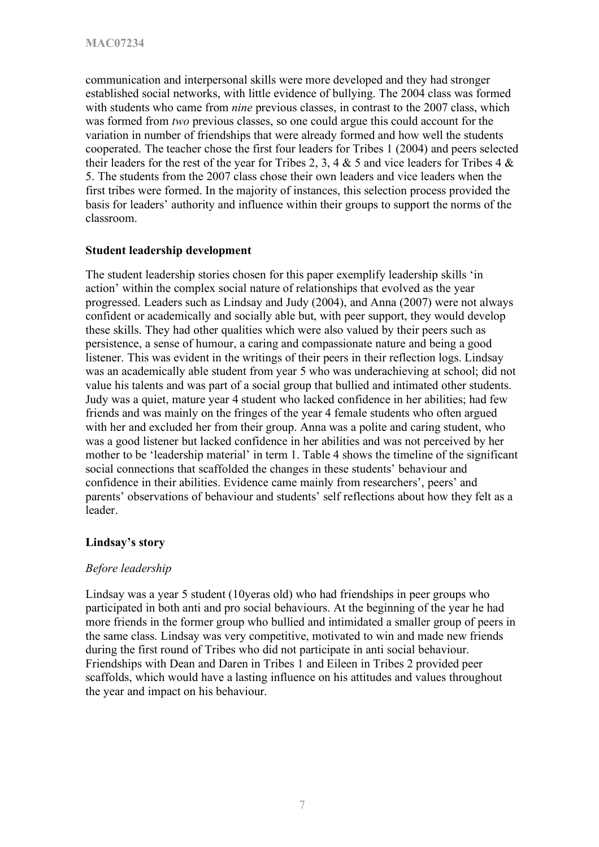communication and interpersonal skills were more developed and they had stronger established social networks, with little evidence of bullying. The 2004 class was formed with students who came from *nine* previous classes, in contrast to the 2007 class, which was formed from *two* previous classes, so one could argue this could account for the variation in number of friendships that were already formed and how well the students cooperated. The teacher chose the first four leaders for Tribes 1 (2004) and peers selected their leaders for the rest of the year for Tribes 2, 3, 4  $\&$  5 and vice leaders for Tribes 4  $\&$ 5. The students from the 2007 class chose their own leaders and vice leaders when the first tribes were formed. In the majority of instances, this selection process provided the basis for leaders' authority and influence within their groups to support the norms of the classroom.

#### **Student leadership development**

The student leadership stories chosen for this paper exemplify leadership skills 'in action' within the complex social nature of relationships that evolved as the year progressed. Leaders such as Lindsay and Judy (2004), and Anna (2007) were not always confident or academically and socially able but, with peer support, they would develop these skills. They had other qualities which were also valued by their peers such as persistence, a sense of humour, a caring and compassionate nature and being a good listener. This was evident in the writings of their peers in their reflection logs. Lindsay was an academically able student from year 5 who was underachieving at school; did not value his talents and was part of a social group that bullied and intimated other students. Judy was a quiet, mature year 4 student who lacked confidence in her abilities; had few friends and was mainly on the fringes of the year 4 female students who often argued with her and excluded her from their group. Anna was a polite and caring student, who was a good listener but lacked confidence in her abilities and was not perceived by her mother to be 'leadership material' in term 1. Table 4 shows the timeline of the significant social connections that scaffolded the changes in these students' behaviour and confidence in their abilities. Evidence came mainly from researchers', peers' and parents' observations of behaviour and students' self reflections about how they felt as a leader.

## **Lindsay's story**

## *Before leadership*

Lindsay was a year 5 student (10yeras old) who had friendships in peer groups who participated in both anti and pro social behaviours. At the beginning of the year he had more friends in the former group who bullied and intimidated a smaller group of peers in the same class. Lindsay was very competitive, motivated to win and made new friends during the first round of Tribes who did not participate in anti social behaviour. Friendships with Dean and Daren in Tribes 1 and Eileen in Tribes 2 provided peer scaffolds, which would have a lasting influence on his attitudes and values throughout the year and impact on his behaviour.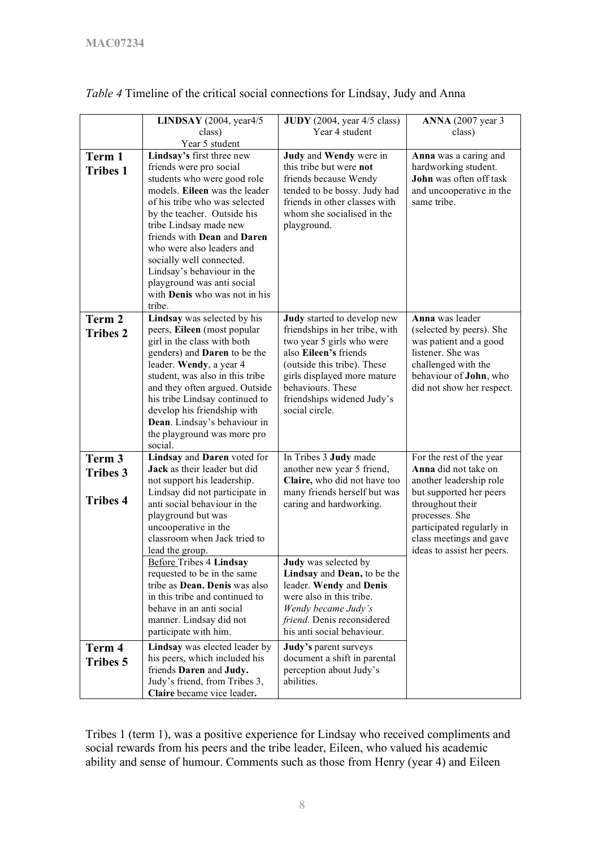|                                              | LINDSAY $(2004, year4/5)$<br>class)<br>Year 5 student                                                                                                                                                                                                                                                                                                                                                                         | $JUDY$ (2004, year 4/5 class)<br>Year 4 student                                                                                                                                                                                                                                            | <b>ANNA</b> (2007 year 3)<br>class)                                                                                                                                                                                                |
|----------------------------------------------|-------------------------------------------------------------------------------------------------------------------------------------------------------------------------------------------------------------------------------------------------------------------------------------------------------------------------------------------------------------------------------------------------------------------------------|--------------------------------------------------------------------------------------------------------------------------------------------------------------------------------------------------------------------------------------------------------------------------------------------|------------------------------------------------------------------------------------------------------------------------------------------------------------------------------------------------------------------------------------|
| Term 1<br><b>Tribes 1</b>                    | Lindsay's first three new<br>friends were pro social<br>students who were good role<br>models. Eileen was the leader<br>of his tribe who was selected<br>by the teacher. Outside his<br>tribe Lindsay made new<br>friends with Dean and Daren<br>who were also leaders and<br>socially well connected.<br>Lindsay's behaviour in the<br>playground was anti social<br>with Denis who was not in his<br>tribe.                 | Judy and Wendy were in<br>this tribe but were not<br>friends because Wendy<br>tended to be bossy. Judy had<br>friends in other classes with<br>whom she socialised in the<br>playground.                                                                                                   | Anna was a caring and<br>hardworking student.<br>John was often off task<br>and uncooperative in the<br>same tribe.                                                                                                                |
| Term 2<br><b>Tribes 2</b>                    | Lindsay was selected by his<br>peers, Eileen (most popular<br>girl in the class with both<br>genders) and <b>Daren</b> to be the<br>leader. Wendy, a year 4<br>student, was also in this tribe<br>and they often argued. Outside<br>his tribe Lindsay continued to<br>develop his friendship with<br>Dean. Lindsay's behaviour in<br>the playground was more pro<br>social.                                                   | Judy started to develop new<br>friendships in her tribe, with<br>two year 5 girls who were<br>also Eileen's friends<br>(outside this tribe). These<br>girls displayed more mature<br>behaviours. These<br>friendships widened Judy's<br>social circle.                                     | Anna was leader<br>(selected by peers). She<br>was patient and a good<br>listener. She was<br>challenged with the<br>behaviour of John, who<br>did not show her respect.                                                           |
| Term 3<br><b>Tribes 3</b><br><b>Tribes 4</b> | Lindsay and Daren voted for<br>Jack as their leader but did<br>not support his leadership.<br>Lindsay did not participate in<br>anti social behaviour in the<br>playground but was<br>uncooperative in the<br>classroom when Jack tried to<br>lead the group.<br><b>Before Tribes 4 Lindsay</b><br>requested to be in the same<br>tribe as Dean. Denis was also<br>in this tribe and continued to<br>behave in an anti social | In Tribes 3 Judy made<br>another new year 5 friend,<br>Claire, who did not have too<br>many friends herself but was<br>caring and hardworking.<br><b>Judy</b> was selected by<br>Lindsay and Dean, to be the<br>leader. Wendy and Denis<br>were also in this tribe.<br>Wendy became Judy's | For the rest of the year<br>Anna did not take on<br>another leadership role<br>but supported her peers<br>throughout their<br>processes. She<br>participated regularly in<br>class meetings and gave<br>ideas to assist her peers. |
| Term 4<br><b>Tribes 5</b>                    | manner. Lindsay did not<br>participate with him.<br>Lindsay was elected leader by<br>his peers, which included his<br>friends Daren and Judy.<br>Judy's friend, from Tribes 3,<br>Claire became vice leader.                                                                                                                                                                                                                  | friend. Denis reconsidered<br>his anti social behaviour.<br>Judy's parent surveys<br>document a shift in parental<br>perception about Judy's<br>abilities.                                                                                                                                 |                                                                                                                                                                                                                                    |

*Table 4* Timeline of the critical social connections for Lindsay, Judy and Anna

Tribes 1 (term 1), was a positive experience for Lindsay who received compliments and social rewards from his peers and the tribe leader, Eileen, who valued his academic ability and sense of humour. Comments such as those from Henry (year 4) and Eileen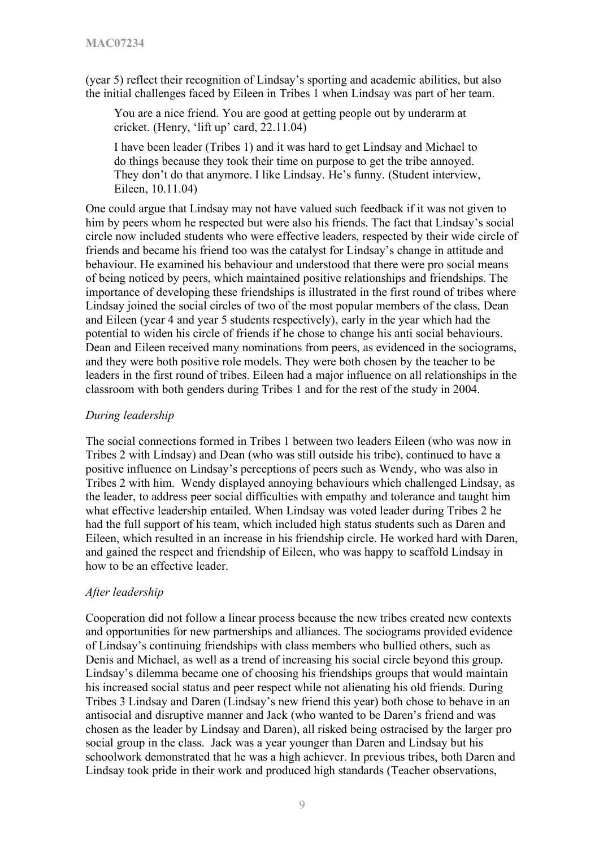(year 5) reflect their recognition of Lindsay's sporting and academic abilities, but also the initial challenges faced by Eileen in Tribes 1 when Lindsay was part of her team.

You are a nice friend. You are good at getting people out by underarm at cricket. (Henry, 'lift up' card, 22.11.04)

I have been leader (Tribes 1) and it was hard to get Lindsay and Michael to do things because they took their time on purpose to get the tribe annoyed. They don't do that anymore. I like Lindsay. He's funny. (Student interview, Eileen, 10.11.04)

One could argue that Lindsay may not have valued such feedback if it was not given to him by peers whom he respected but were also his friends. The fact that Lindsay's social circle now included students who were effective leaders, respected by their wide circle of friends and became his friend too was the catalyst for Lindsay's change in attitude and behaviour. He examined his behaviour and understood that there were pro social means of being noticed by peers, which maintained positive relationships and friendships. The importance of developing these friendships is illustrated in the first round of tribes where Lindsay joined the social circles of two of the most popular members of the class, Dean and Eileen (year 4 and year 5 students respectively), early in the year which had the potential to widen his circle of friends if he chose to change his anti social behaviours. Dean and Eileen received many nominations from peers, as evidenced in the sociograms, and they were both positive role models. They were both chosen by the teacher to be leaders in the first round of tribes. Eileen had a major influence on all relationships in the classroom with both genders during Tribes 1 and for the rest of the study in 2004.

#### *During leadership*

The social connections formed in Tribes 1 between two leaders Eileen (who was now in Tribes 2 with Lindsay) and Dean (who was still outside his tribe), continued to have a positive influence on Lindsay's perceptions of peers such as Wendy, who was also in Tribes 2 with him. Wendy displayed annoying behaviours which challenged Lindsay, as the leader, to address peer social difficulties with empathy and tolerance and taught him what effective leadership entailed. When Lindsay was voted leader during Tribes 2 he had the full support of his team, which included high status students such as Daren and Eileen, which resulted in an increase in his friendship circle. He worked hard with Daren, and gained the respect and friendship of Eileen, who was happy to scaffold Lindsay in how to be an effective leader.

#### *After leadership*

Cooperation did not follow a linear process because the new tribes created new contexts and opportunities for new partnerships and alliances. The sociograms provided evidence of Lindsay's continuing friendships with class members who bullied others, such as Denis and Michael, as well as a trend of increasing his social circle beyond this group. Lindsay's dilemma became one of choosing his friendships groups that would maintain his increased social status and peer respect while not alienating his old friends. During Tribes 3 Lindsay and Daren (Lindsay's new friend this year) both chose to behave in an antisocial and disruptive manner and Jack (who wanted to be Daren's friend and was chosen as the leader by Lindsay and Daren), all risked being ostracised by the larger pro social group in the class. Jack was a year younger than Daren and Lindsay but his schoolwork demonstrated that he was a high achiever. In previous tribes, both Daren and Lindsay took pride in their work and produced high standards (Teacher observations,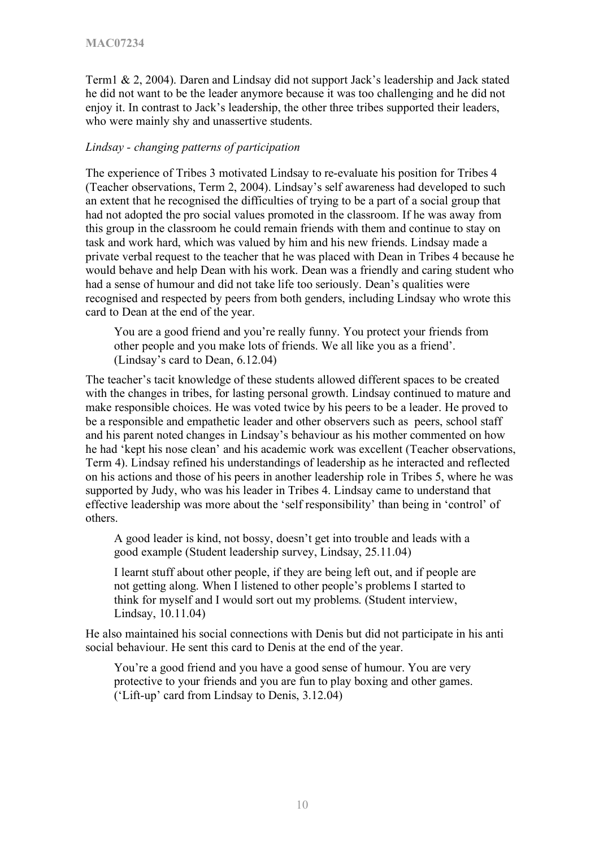Term1 & 2, 2004). Daren and Lindsay did not support Jack's leadership and Jack stated he did not want to be the leader anymore because it was too challenging and he did not enjoy it. In contrast to Jack's leadership, the other three tribes supported their leaders, who were mainly shy and unassertive students.

#### *Lindsay - changing patterns of participation*

The experience of Tribes 3 motivated Lindsay to re-evaluate his position for Tribes 4 (Teacher observations, Term 2, 2004). Lindsay's self awareness had developed to such an extent that he recognised the difficulties of trying to be a part of a social group that had not adopted the pro social values promoted in the classroom. If he was away from this group in the classroom he could remain friends with them and continue to stay on task and work hard, which was valued by him and his new friends. Lindsay made a private verbal request to the teacher that he was placed with Dean in Tribes 4 because he would behave and help Dean with his work. Dean was a friendly and caring student who had a sense of humour and did not take life too seriously. Dean's qualities were recognised and respected by peers from both genders, including Lindsay who wrote this card to Dean at the end of the year.

You are a good friend and you're really funny. You protect your friends from other people and you make lots of friends. We all like you as a friend'. (Lindsay's card to Dean, 6.12.04)

The teacher's tacit knowledge of these students allowed different spaces to be created with the changes in tribes, for lasting personal growth. Lindsay continued to mature and make responsible choices. He was voted twice by his peers to be a leader. He proved to be a responsible and empathetic leader and other observers such as peers, school staff and his parent noted changes in Lindsay's behaviour as his mother commented on how he had 'kept his nose clean' and his academic work was excellent (Teacher observations, Term 4). Lindsay refined his understandings of leadership as he interacted and reflected on his actions and those of his peers in another leadership role in Tribes 5, where he was supported by Judy, who was his leader in Tribes 4. Lindsay came to understand that effective leadership was more about the 'self responsibility' than being in 'control' of others.

A good leader is kind, not bossy, doesn't get into trouble and leads with a good example (Student leadership survey, Lindsay, 25.11.04)

I learnt stuff about other people, if they are being left out, and if people are not getting along. When I listened to other people's problems I started to think for myself and I would sort out my problems. (Student interview, Lindsay, 10.11.04)

He also maintained his social connections with Denis but did not participate in his anti social behaviour. He sent this card to Denis at the end of the year.

You're a good friend and you have a good sense of humour. You are very protective to your friends and you are fun to play boxing and other games. ('Lift-up' card from Lindsay to Denis, 3.12.04)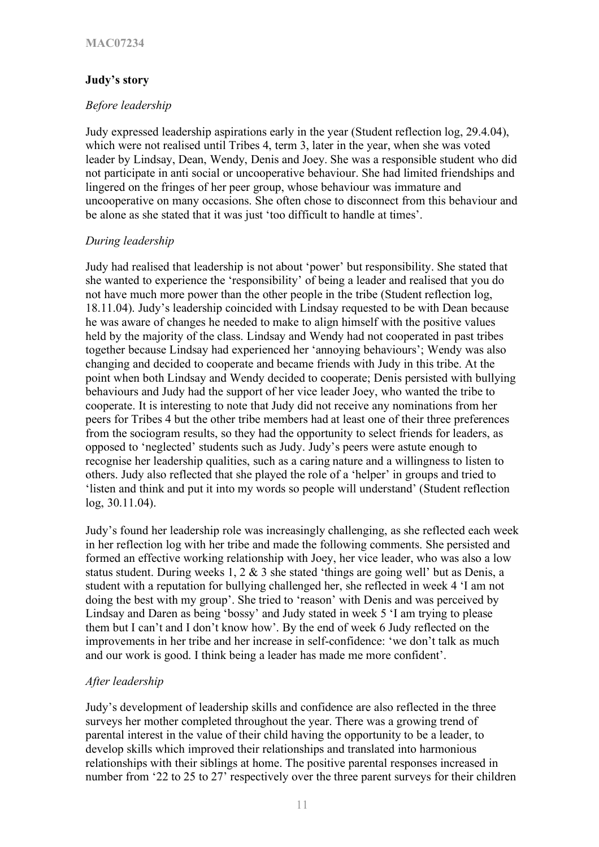# **Judy's story**

## *Before leadership*

Judy expressed leadership aspirations early in the year (Student reflection log, 29.4.04), which were not realised until Tribes 4, term 3, later in the year, when she was voted leader by Lindsay, Dean, Wendy, Denis and Joey. She was a responsible student who did not participate in anti social or uncooperative behaviour. She had limited friendships and lingered on the fringes of her peer group, whose behaviour was immature and uncooperative on many occasions. She often chose to disconnect from this behaviour and be alone as she stated that it was just 'too difficult to handle at times'.

## *During leadership*

Judy had realised that leadership is not about 'power' but responsibility. She stated that she wanted to experience the 'responsibility' of being a leader and realised that you do not have much more power than the other people in the tribe (Student reflection log, 18.11.04). Judy's leadership coincided with Lindsay requested to be with Dean because he was aware of changes he needed to make to align himself with the positive values held by the majority of the class. Lindsay and Wendy had not cooperated in past tribes together because Lindsay had experienced her 'annoying behaviours'; Wendy was also changing and decided to cooperate and became friends with Judy in this tribe. At the point when both Lindsay and Wendy decided to cooperate; Denis persisted with bullying behaviours and Judy had the support of her vice leader Joey, who wanted the tribe to cooperate. It is interesting to note that Judy did not receive any nominations from her peers for Tribes 4 but the other tribe members had at least one of their three preferences from the sociogram results, so they had the opportunity to select friends for leaders, as opposed to 'neglected' students such as Judy. Judy's peers were astute enough to recognise her leadership qualities, such as a caring nature and a willingness to listen to others. Judy also reflected that she played the role of a 'helper' in groups and tried to 'listen and think and put it into my words so people will understand' (Student reflection log, 30.11.04).

Judy's found her leadership role was increasingly challenging, as she reflected each week in her reflection log with her tribe and made the following comments. She persisted and formed an effective working relationship with Joey, her vice leader, who was also a low status student. During weeks 1, 2  $\&$  3 she stated 'things are going well' but as Denis, a student with a reputation for bullying challenged her, she reflected in week 4 'I am not doing the best with my group'. She tried to 'reason' with Denis and was perceived by Lindsay and Daren as being 'bossy' and Judy stated in week 5 'I am trying to please them but I can't and I don't know how'. By the end of week 6 Judy reflected on the improvements in her tribe and her increase in self-confidence: 'we don't talk as much and our work is good. I think being a leader has made me more confident'.

## *After leadership*

Judy's development of leadership skills and confidence are also reflected in the three surveys her mother completed throughout the year. There was a growing trend of parental interest in the value of their child having the opportunity to be a leader, to develop skills which improved their relationships and translated into harmonious relationships with their siblings at home. The positive parental responses increased in number from '22 to 25 to 27' respectively over the three parent surveys for their children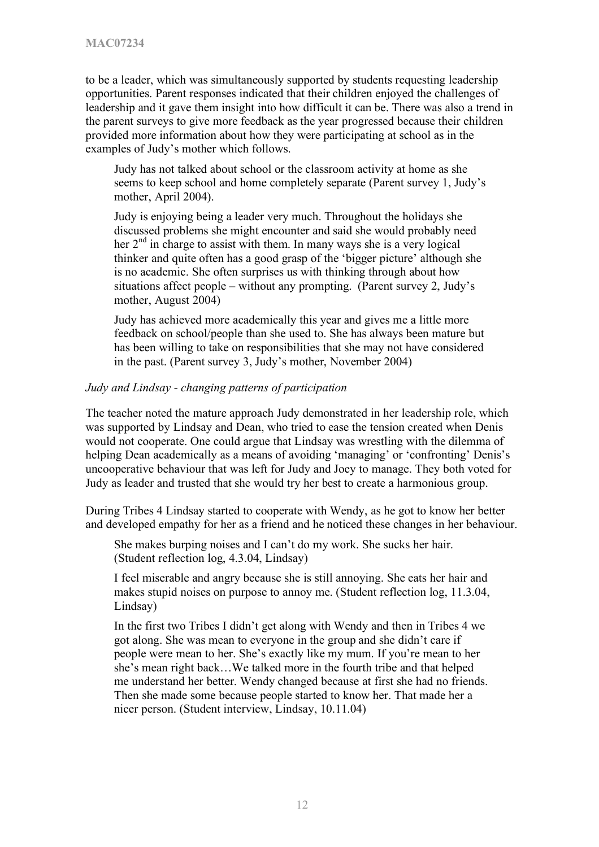to be a leader, which was simultaneously supported by students requesting leadership opportunities. Parent responses indicated that their children enjoyed the challenges of leadership and it gave them insight into how difficult it can be. There was also a trend in the parent surveys to give more feedback as the year progressed because their children provided more information about how they were participating at school as in the examples of Judy's mother which follows.

Judy has not talked about school or the classroom activity at home as she seems to keep school and home completely separate (Parent survey 1, Judy's mother, April 2004).

Judy is enjoying being a leader very much. Throughout the holidays she discussed problems she might encounter and said she would probably need her  $2<sup>nd</sup>$  in charge to assist with them. In many ways she is a very logical thinker and quite often has a good grasp of the 'bigger picture' although she is no academic. She often surprises us with thinking through about how situations affect people – without any prompting. (Parent survey 2, Judy's mother, August 2004)

Judy has achieved more academically this year and gives me a little more feedback on school/people than she used to. She has always been mature but has been willing to take on responsibilities that she may not have considered in the past. (Parent survey 3, Judy's mother, November 2004)

#### *Judy and Lindsay - changing patterns of participation*

The teacher noted the mature approach Judy demonstrated in her leadership role, which was supported by Lindsay and Dean, who tried to ease the tension created when Denis would not cooperate. One could argue that Lindsay was wrestling with the dilemma of helping Dean academically as a means of avoiding 'managing' or 'confronting' Denis's uncooperative behaviour that was left for Judy and Joey to manage. They both voted for Judy as leader and trusted that she would try her best to create a harmonious group.

During Tribes 4 Lindsay started to cooperate with Wendy, as he got to know her better and developed empathy for her as a friend and he noticed these changes in her behaviour.

She makes burping noises and I can't do my work. She sucks her hair. (Student reflection log, 4.3.04, Lindsay)

I feel miserable and angry because she is still annoying. She eats her hair and makes stupid noises on purpose to annoy me. (Student reflection log, 11.3.04, Lindsay)

In the first two Tribes I didn't get along with Wendy and then in Tribes 4 we got along. She was mean to everyone in the group and she didn't care if people were mean to her. She's exactly like my mum. If you're mean to her she's mean right back…We talked more in the fourth tribe and that helped me understand her better. Wendy changed because at first she had no friends. Then she made some because people started to know her. That made her a nicer person. (Student interview, Lindsay, 10.11.04)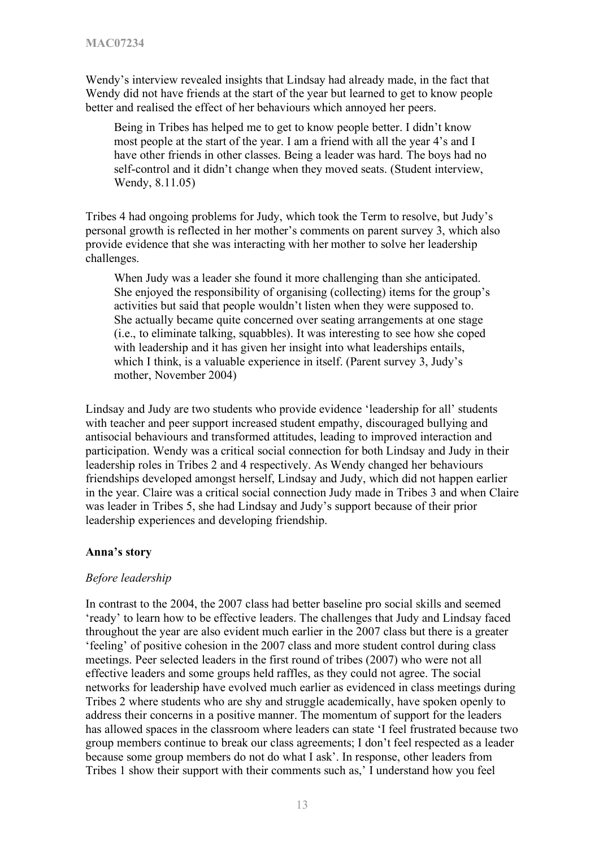Wendy's interview revealed insights that Lindsay had already made, in the fact that Wendy did not have friends at the start of the year but learned to get to know people better and realised the effect of her behaviours which annoyed her peers.

Being in Tribes has helped me to get to know people better. I didn't know most people at the start of the year. I am a friend with all the year 4's and I have other friends in other classes. Being a leader was hard. The boys had no self-control and it didn't change when they moved seats. (Student interview, Wendy, 8.11.05)

Tribes 4 had ongoing problems for Judy, which took the Term to resolve, but Judy's personal growth is reflected in her mother's comments on parent survey 3, which also provide evidence that she was interacting with her mother to solve her leadership challenges.

When Judy was a leader she found it more challenging than she anticipated. She enjoyed the responsibility of organising (collecting) items for the group's activities but said that people wouldn't listen when they were supposed to. She actually became quite concerned over seating arrangements at one stage (i.e., to eliminate talking, squabbles). It was interesting to see how she coped with leadership and it has given her insight into what leaderships entails, which I think, is a valuable experience in itself. (Parent survey 3, Judy's mother, November 2004)

Lindsay and Judy are two students who provide evidence 'leadership for all' students with teacher and peer support increased student empathy, discouraged bullying and antisocial behaviours and transformed attitudes, leading to improved interaction and participation. Wendy was a critical social connection for both Lindsay and Judy in their leadership roles in Tribes 2 and 4 respectively. As Wendy changed her behaviours friendships developed amongst herself, Lindsay and Judy, which did not happen earlier in the year. Claire was a critical social connection Judy made in Tribes 3 and when Claire was leader in Tribes 5, she had Lindsay and Judy's support because of their prior leadership experiences and developing friendship.

## **Anna's story**

#### *Before leadership*

In contrast to the 2004, the 2007 class had better baseline pro social skills and seemed 'ready' to learn how to be effective leaders. The challenges that Judy and Lindsay faced throughout the year are also evident much earlier in the 2007 class but there is a greater 'feeling' of positive cohesion in the 2007 class and more student control during class meetings. Peer selected leaders in the first round of tribes (2007) who were not all effective leaders and some groups held raffles, as they could not agree. The social networks for leadership have evolved much earlier as evidenced in class meetings during Tribes 2 where students who are shy and struggle academically, have spoken openly to address their concerns in a positive manner. The momentum of support for the leaders has allowed spaces in the classroom where leaders can state 'I feel frustrated because two group members continue to break our class agreements; I don't feel respected as a leader because some group members do not do what I ask'. In response, other leaders from Tribes 1 show their support with their comments such as,' I understand how you feel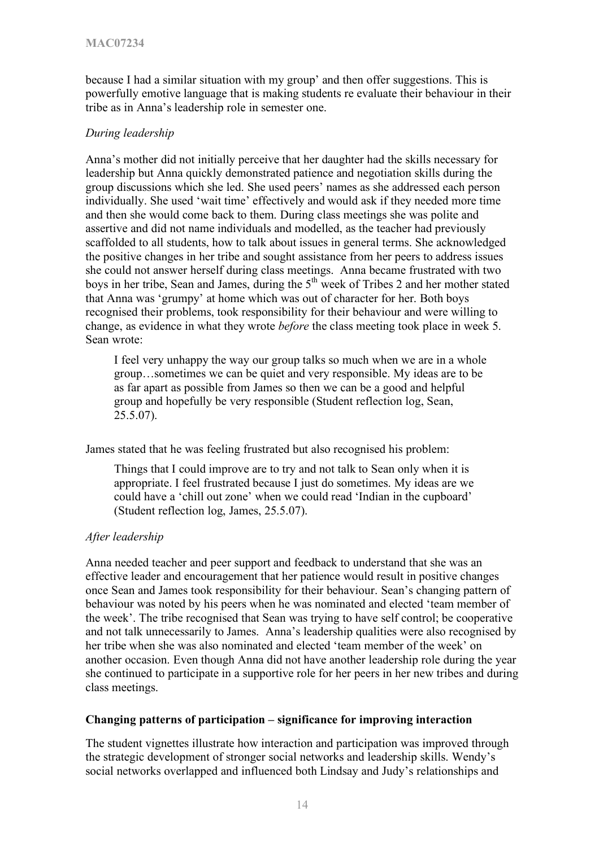because I had a similar situation with my group' and then offer suggestions. This is powerfully emotive language that is making students re evaluate their behaviour in their tribe as in Anna's leadership role in semester one.

## *During leadership*

Anna's mother did not initially perceive that her daughter had the skills necessary for leadership but Anna quickly demonstrated patience and negotiation skills during the group discussions which she led. She used peers' names as she addressed each person individually. She used 'wait time' effectively and would ask if they needed more time and then she would come back to them. During class meetings she was polite and assertive and did not name individuals and modelled, as the teacher had previously scaffolded to all students, how to talk about issues in general terms. She acknowledged the positive changes in her tribe and sought assistance from her peers to address issues she could not answer herself during class meetings. Anna became frustrated with two boys in her tribe, Sean and James, during the  $5<sup>th</sup>$  week of Tribes 2 and her mother stated that Anna was 'grumpy' at home which was out of character for her. Both boys recognised their problems, took responsibility for their behaviour and were willing to change, as evidence in what they wrote *before* the class meeting took place in week 5. Sean wrote:

I feel very unhappy the way our group talks so much when we are in a whole group…sometimes we can be quiet and very responsible. My ideas are to be as far apart as possible from James so then we can be a good and helpful group and hopefully be very responsible (Student reflection log, Sean, 25.5.07).

James stated that he was feeling frustrated but also recognised his problem:

Things that I could improve are to try and not talk to Sean only when it is appropriate. I feel frustrated because I just do sometimes. My ideas are we could have a 'chill out zone' when we could read 'Indian in the cupboard' (Student reflection log, James, 25.5.07).

## *After leadership*

Anna needed teacher and peer support and feedback to understand that she was an effective leader and encouragement that her patience would result in positive changes once Sean and James took responsibility for their behaviour. Sean's changing pattern of behaviour was noted by his peers when he was nominated and elected 'team member of the week'. The tribe recognised that Sean was trying to have self control; be cooperative and not talk unnecessarily to James. Anna's leadership qualities were also recognised by her tribe when she was also nominated and elected 'team member of the week' on another occasion. Even though Anna did not have another leadership role during the year she continued to participate in a supportive role for her peers in her new tribes and during class meetings.

## **Changing patterns of participation – significance for improving interaction**

The student vignettes illustrate how interaction and participation was improved through the strategic development of stronger social networks and leadership skills. Wendy's social networks overlapped and influenced both Lindsay and Judy's relationships and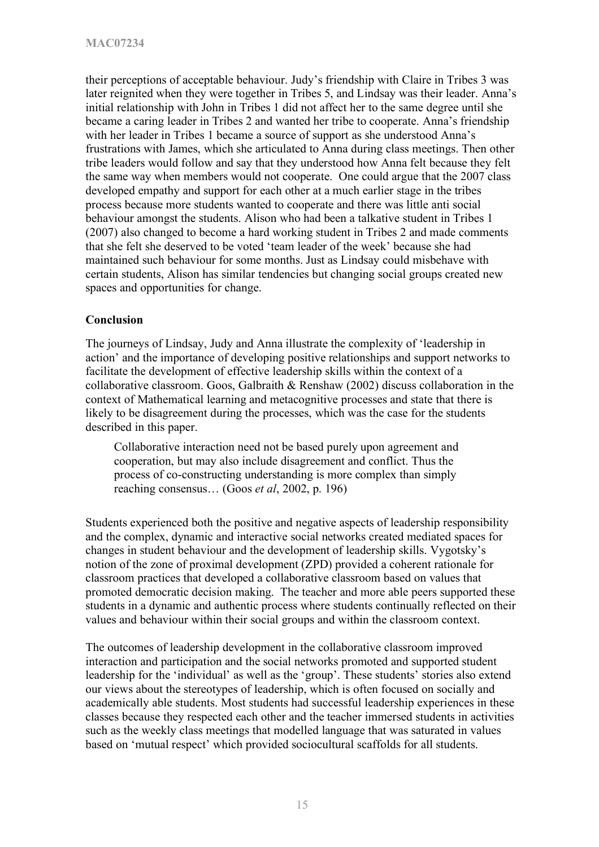their perceptions of acceptable behaviour. Judy's friendship with Claire in Tribes 3 was later reignited when they were together in Tribes 5, and Lindsay was their leader. Anna's initial relationship with John in Tribes 1 did not affect her to the same degree until she became a caring leader in Tribes 2 and wanted her tribe to cooperate. Anna's friendship with her leader in Tribes 1 became a source of support as she understood Anna's frustrations with James, which she articulated to Anna during class meetings. Then other tribe leaders would follow and say that they understood how Anna felt because they felt the same way when members would not cooperate. One could argue that the 2007 class developed empathy and support for each other at a much earlier stage in the tribes process because more students wanted to cooperate and there was little anti social behaviour amongst the students. Alison who had been a talkative student in Tribes 1 (2007) also changed to become a hard working student in Tribes 2 and made comments that she felt she deserved to be voted 'team leader of the week' because she had maintained such behaviour for some months. Just as Lindsay could misbehave with certain students, Alison has similar tendencies but changing social groups created new spaces and opportunities for change.

## **Conclusion**

The journeys of Lindsay, Judy and Anna illustrate the complexity of 'leadership in action' and the importance of developing positive relationships and support networks to facilitate the development of effective leadership skills within the context of a collaborative classroom. Goos, Galbraith & Renshaw (2002) discuss collaboration in the context of Mathematical learning and metacognitive processes and state that there is likely to be disagreement during the processes, which was the case for the students described in this paper.

Collaborative interaction need not be based purely upon agreement and cooperation, but may also include disagreement and conflict. Thus the process of co-constructing understanding is more complex than simply reaching consensus… (Goos *et al*, 2002, p. 196)

Students experienced both the positive and negative aspects of leadership responsibility and the complex, dynamic and interactive social networks created mediated spaces for changes in student behaviour and the development of leadership skills. Vygotsky's notion of the zone of proximal development (ZPD) provided a coherent rationale for classroom practices that developed a collaborative classroom based on values that promoted democratic decision making. The teacher and more able peers supported these students in a dynamic and authentic process where students continually reflected on their values and behaviour within their social groups and within the classroom context.

The outcomes of leadership development in the collaborative classroom improved interaction and participation and the social networks promoted and supported student leadership for the 'individual' as well as the 'group'. These students' stories also extend our views about the stereotypes of leadership, which is often focused on socially and academically able students. Most students had successful leadership experiences in these classes because they respected each other and the teacher immersed students in activities such as the weekly class meetings that modelled language that was saturated in values based on 'mutual respect' which provided sociocultural scaffolds for all students.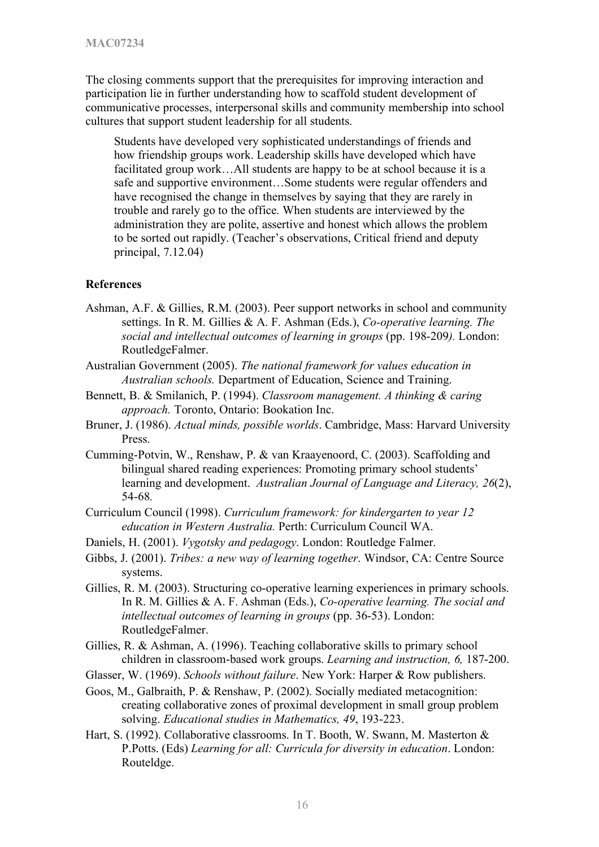The closing comments support that the prerequisites for improving interaction and participation lie in further understanding how to scaffold student development of communicative processes, interpersonal skills and community membership into school cultures that support student leadership for all students.

Students have developed very sophisticated understandings of friends and how friendship groups work. Leadership skills have developed which have facilitated group work…All students are happy to be at school because it is a safe and supportive environment…Some students were regular offenders and have recognised the change in themselves by saying that they are rarely in trouble and rarely go to the office. When students are interviewed by the administration they are polite, assertive and honest which allows the problem to be sorted out rapidly. (Teacher's observations, Critical friend and deputy principal, 7.12.04)

#### **References**

- Ashman, A.F. & Gillies, R.M. (2003). Peer support networks in school and community settings. In R. M. Gillies & A. F. Ashman (Eds.), *Co-operative learning. The social and intellectual outcomes of learning in groups* (pp. 198-209*).* London: RoutledgeFalmer.
- Australian Government (2005). *The national framework for values education in Australian schools.* Department of Education, Science and Training.
- Bennett, B. & Smilanich, P. (1994). *Classroom management. A thinking & caring approach.* Toronto, Ontario: Bookation Inc.
- Bruner, J. (1986). *Actual minds, possible worlds*. Cambridge, Mass: Harvard University Press.
- Cumming-Potvin, W., Renshaw, P. & van Kraayenoord, C. (2003). Scaffolding and bilingual shared reading experiences: Promoting primary school students' learning and development. *Australian Journal of Language and Literacy, 26*(2), 54-68*.*
- Curriculum Council (1998). *Curriculum framework: for kindergarten to year 12 education in Western Australia.* Perth: Curriculum Council WA.
- Daniels, H. (2001). *Vygotsky and pedagogy*. London: Routledge Falmer.
- Gibbs, J. (2001). *Tribes: a new way of learning together*. Windsor, CA: Centre Source systems.
- Gillies, R. M. (2003). Structuring co-operative learning experiences in primary schools. In R. M. Gillies & A. F. Ashman (Eds.), *Co-operative learning. The social and intellectual outcomes of learning in groups* (pp. 36-53). London: RoutledgeFalmer.
- Gillies, R. & Ashman, A. (1996). Teaching collaborative skills to primary school children in classroom-based work groups. *Learning and instruction, 6,* 187-200.
- Glasser, W. (1969). *Schools without failure*. New York: Harper & Row publishers.
- Goos, M., Galbraith, P. & Renshaw, P. (2002). Socially mediated metacognition: creating collaborative zones of proximal development in small group problem solving. *Educational studies in Mathematics, 49*, 193-223.
- Hart, S. (1992). Collaborative classrooms. In T. Booth, W. Swann, M. Masterton & P.Potts. (Eds) *Learning for all: Curricula for diversity in education*. London: Routeldge.